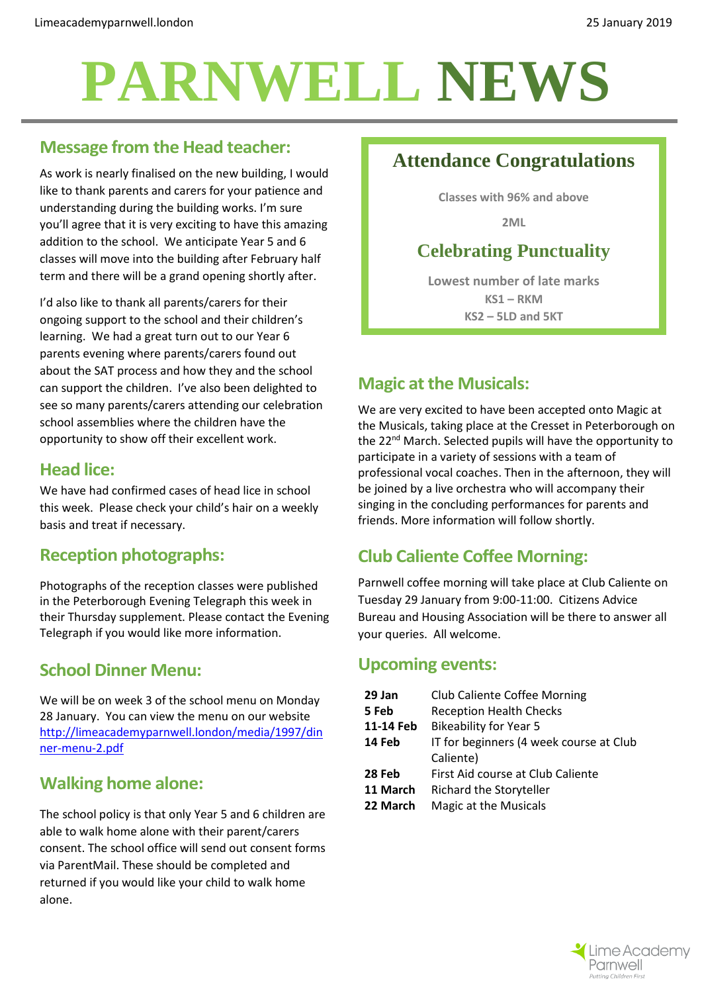# **PARNWELL NEWS**

## **Message from the Head teacher:**

As work is nearly finalised on the new building, I would like to thank parents and carers for your patience and understanding during the building works. I'm sure you'll agree that it is very exciting to have this amazing addition to the school. We anticipate Year 5 and 6 classes will move into the building after February half term and there will be a grand opening shortly after.

I'd also like to thank all parents/carers for their ongoing support to the school and their children's learning. We had a great turn out to our Year 6 parents evening where parents/carers found out about the SAT process and how they and the school can support the children. I've also been delighted to see so many parents/carers attending our celebration school assemblies where the children have the opportunity to show off their excellent work.

#### **Head lice:**

We have had confirmed cases of head lice in school this week. Please check your child's hair on a weekly basis and treat if necessary.

## **Reception photographs:**

Photographs of the reception classes were published in the Peterborough Evening Telegraph this week in their Thursday supplement. Please contact the Evening Telegraph if you would like more information.

### **School Dinner Menu:**

We will be on week 3 of the school menu on Monday 28 January. You can view the menu on our website [http://limeacademyparnwell.london/media/1997/din](http://limeacademyparnwell.london/media/1997/dinner-menu-2.pdf) [ner-menu-2.pdf](http://limeacademyparnwell.london/media/1997/dinner-menu-2.pdf)

## **Walking home alone:**

The school policy is that only Year 5 and 6 children are able to walk home alone with their parent/carers consent. The school office will send out consent forms via ParentMail. These should be completed and returned if you would like your child to walk home alone.

# **Attendance Congratulations**

**Classes with 96% and above**

**2ML**

# **Celebrating Punctuality**

**Lowest number of late marks KS1 – RKM KS2 – 5LD and 5KT**

# **Magic at the Musicals:**

We are very excited to have been accepted onto Magic at the Musicals, taking place at the Cresset in Peterborough on the 22<sup>nd</sup> March. Selected pupils will have the opportunity to participate in a variety of sessions with a team of professional vocal coaches. Then in the afternoon, they will be joined by a live orchestra who will accompany their singing in the concluding performances for parents and friends. More information will follow shortly.

# **Club Caliente Coffee Morning:**

Parnwell coffee morning will take place at Club Caliente on Tuesday 29 January from 9:00-11:00. Citizens Advice Bureau and Housing Association will be there to answer all your queries. All welcome.

#### **Upcoming events:**

| 29 Jan    | <b>Club Caliente Coffee Morning</b>     |  |
|-----------|-----------------------------------------|--|
| 5 Feb     | <b>Reception Health Checks</b>          |  |
| 11-14 Feb | <b>Bikeability for Year 5</b>           |  |
| 14 Feb    | IT for beginners (4 week course at Club |  |
|           | Caliente)                               |  |
| 28 Feb    | First Aid course at Club Caliente       |  |
| 11 March  | Richard the Storyteller                 |  |
| 22 March  | Magic at the Musicals                   |  |
|           |                                         |  |